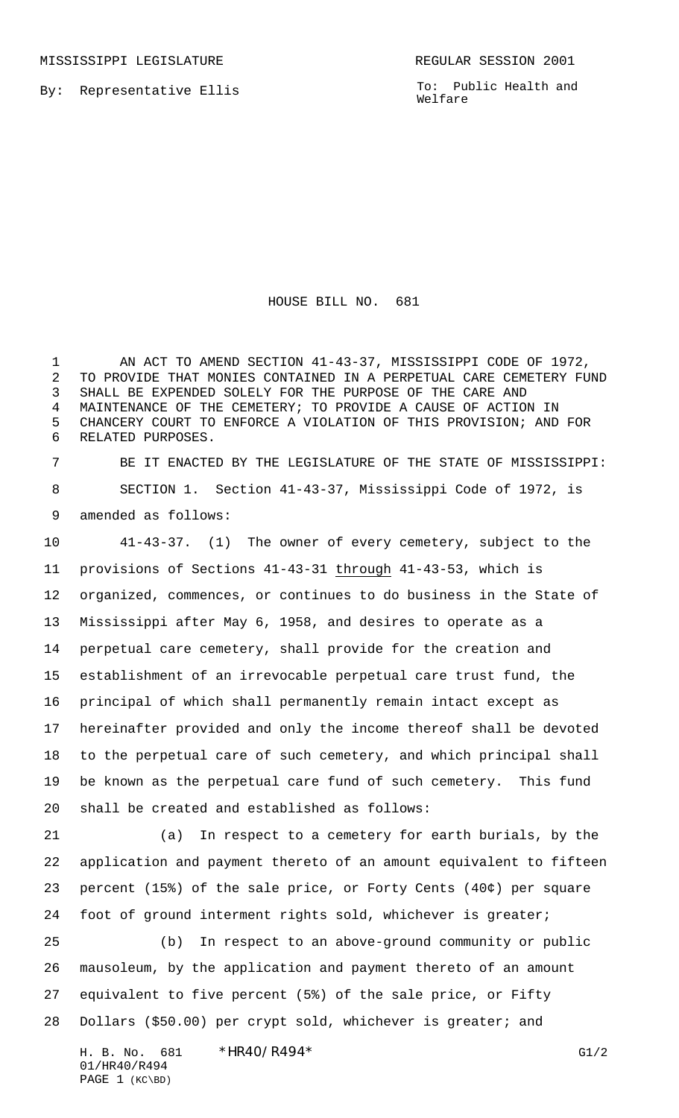By: Representative Ellis

To: Public Health and Welfare

HOUSE BILL NO. 681

1 AN ACT TO AMEND SECTION 41-43-37, MISSISSIPPI CODE OF 1972, TO PROVIDE THAT MONIES CONTAINED IN A PERPETUAL CARE CEMETERY FUND SHALL BE EXPENDED SOLELY FOR THE PURPOSE OF THE CARE AND MAINTENANCE OF THE CEMETERY; TO PROVIDE A CAUSE OF ACTION IN CHANCERY COURT TO ENFORCE A VIOLATION OF THIS PROVISION; AND FOR RELATED PURPOSES.

 BE IT ENACTED BY THE LEGISLATURE OF THE STATE OF MISSISSIPPI: SECTION 1. Section 41-43-37, Mississippi Code of 1972, is amended as follows:

 41-43-37. (1) The owner of every cemetery, subject to the provisions of Sections 41-43-31 through 41-43-53, which is organized, commences, or continues to do business in the State of Mississippi after May 6, 1958, and desires to operate as a perpetual care cemetery, shall provide for the creation and establishment of an irrevocable perpetual care trust fund, the principal of which shall permanently remain intact except as hereinafter provided and only the income thereof shall be devoted to the perpetual care of such cemetery, and which principal shall be known as the perpetual care fund of such cemetery. This fund shall be created and established as follows:

 (a) In respect to a cemetery for earth burials, by the application and payment thereto of an amount equivalent to fifteen percent (15%) of the sale price, or Forty Cents (40¢) per square foot of ground interment rights sold, whichever is greater;

 (b) In respect to an above-ground community or public mausoleum, by the application and payment thereto of an amount equivalent to five percent (5%) of the sale price, or Fifty Dollars (\$50.00) per crypt sold, whichever is greater; and

H. B. No. 681 \*HR40/R494\* G1/2 01/HR40/R494 PAGE 1 (KC\BD)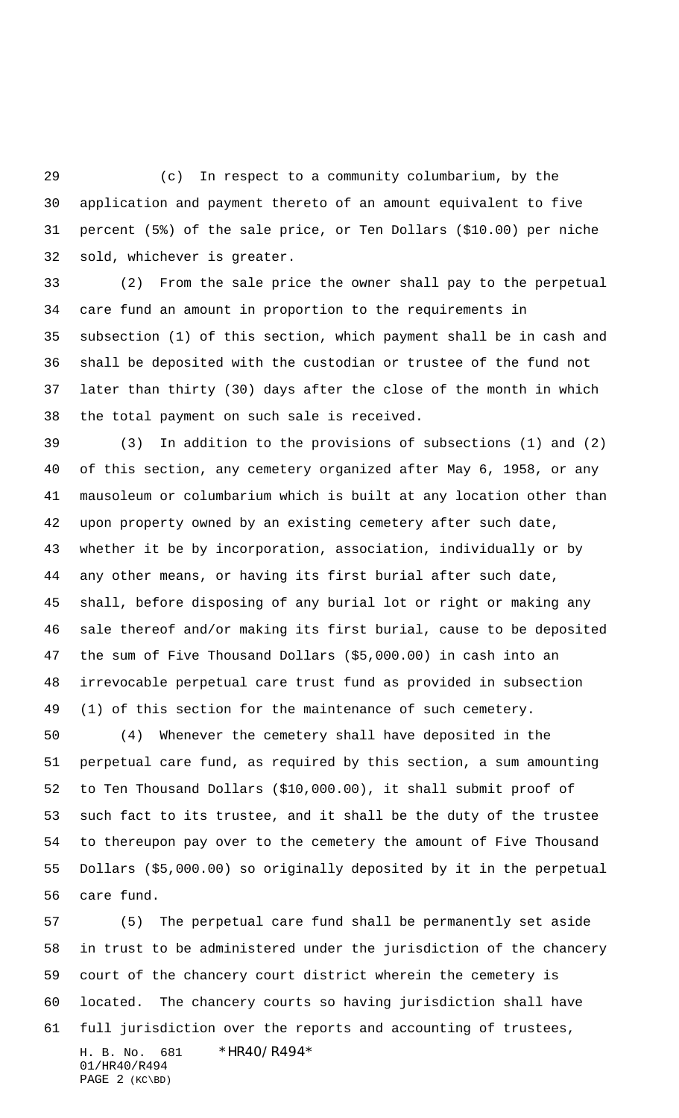(c) In respect to a community columbarium, by the application and payment thereto of an amount equivalent to five percent (5%) of the sale price, or Ten Dollars (\$10.00) per niche sold, whichever is greater.

 (2) From the sale price the owner shall pay to the perpetual care fund an amount in proportion to the requirements in subsection (1) of this section, which payment shall be in cash and shall be deposited with the custodian or trustee of the fund not later than thirty (30) days after the close of the month in which the total payment on such sale is received.

 (3) In addition to the provisions of subsections (1) and (2) of this section, any cemetery organized after May 6, 1958, or any mausoleum or columbarium which is built at any location other than upon property owned by an existing cemetery after such date, whether it be by incorporation, association, individually or by any other means, or having its first burial after such date, shall, before disposing of any burial lot or right or making any sale thereof and/or making its first burial, cause to be deposited the sum of Five Thousand Dollars (\$5,000.00) in cash into an irrevocable perpetual care trust fund as provided in subsection (1) of this section for the maintenance of such cemetery.

 (4) Whenever the cemetery shall have deposited in the perpetual care fund, as required by this section, a sum amounting to Ten Thousand Dollars (\$10,000.00), it shall submit proof of such fact to its trustee, and it shall be the duty of the trustee to thereupon pay over to the cemetery the amount of Five Thousand Dollars (\$5,000.00) so originally deposited by it in the perpetual care fund.

H. B. No. 681 \*HR40/R494\* 01/HR40/R494 (5) The perpetual care fund shall be permanently set aside in trust to be administered under the jurisdiction of the chancery court of the chancery court district wherein the cemetery is located. The chancery courts so having jurisdiction shall have full jurisdiction over the reports and accounting of trustees,

```
PAGE 2 (KC\BD)
```